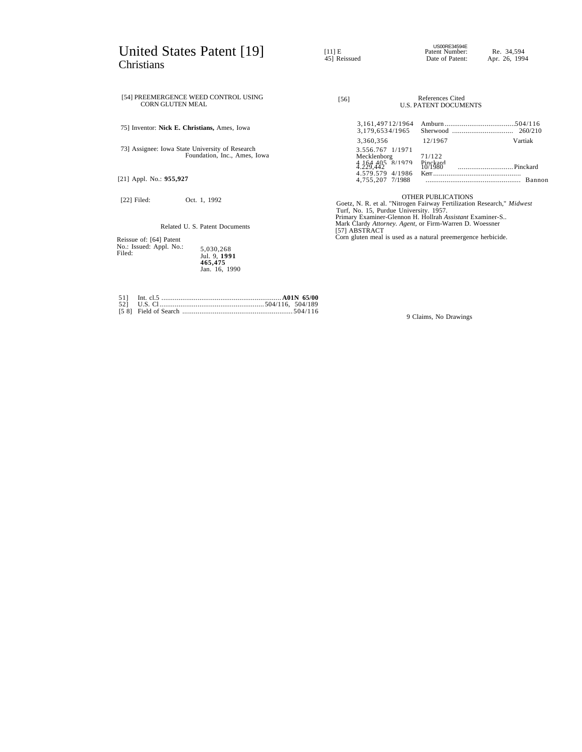# United States Patent [19] Christians

US00RE34594E<br>
Patent Number: Re. 34,594<br>
Pate of Patent: Apr. 26, 1994<br>
Date of Patent: Apr. 26, 1994

| [54] PREEMERGENCE WEED CONTROL USING<br><b>CORN GLUTEN MEAL</b>                 | [56]                                                                                                                                          |                                                                                                                                      | References Cited<br><b>U.S. PATENT DOCUMENTS</b> |         |
|---------------------------------------------------------------------------------|-----------------------------------------------------------------------------------------------------------------------------------------------|--------------------------------------------------------------------------------------------------------------------------------------|--------------------------------------------------|---------|
| 75] Inventor: <b>Nick E. Christians</b> , Ames, Iowa                            |                                                                                                                                               | 3, 161, 497 12/1964<br>3.179.6534/1965                                                                                               |                                                  |         |
| 73] Assignee: Iowa State University of Research<br>Foundation, Inc., Ames, Iowa |                                                                                                                                               | 3,360,356<br>3.556.767 1/1971                                                                                                        | 12/1967                                          | Vartiak |
|                                                                                 |                                                                                                                                               | Mecklenborg<br>$4,164,405$ $8/1979$<br>$4,229,442$<br>4.579.579 4/1986                                                               | 71/122<br>Pinckard<br>10/1980                    |         |
| [21] Appl. No.: 955,927                                                         |                                                                                                                                               | 4.755.207 7/1988                                                                                                                     |                                                  | Bannon  |
| $[22]$ Filed:<br>Oct. 1, 1992                                                   | <b>OTHER PUBLICATIONS</b><br>Goetz, N. R. et al. "Nitrogen Fairway Fertilization Research," Midwest<br>Turf, No. 15, Purdue University. 1957. |                                                                                                                                      |                                                  |         |
| Related U. S. Patent Documents                                                  |                                                                                                                                               | Primary Examiner-Glennon H. Hollrah Assistant Examiner-S<br>Mark Clardy Attorney. Agent, or Firm-Warren D. Woessner<br>[57] ABSTRACT |                                                  |         |
| Daissue of: [64] Datant                                                         |                                                                                                                                               | Corn gluten meal is used as a natural preemergence herbicide.                                                                        |                                                  |         |

5,030,268 Jul. 9, **1991 465,475** Jan. 16, 1990

51] Int. cl.5 ............................................................... **A01N 65/00** 52] U.S. Cl .......................................................504/116, 504/189 [5 8] Field of Search .......................................................... 504/116

Reissue of: [64] Patent No.: Issued: Appl. No.: Filed:

9 Claims, No Drawings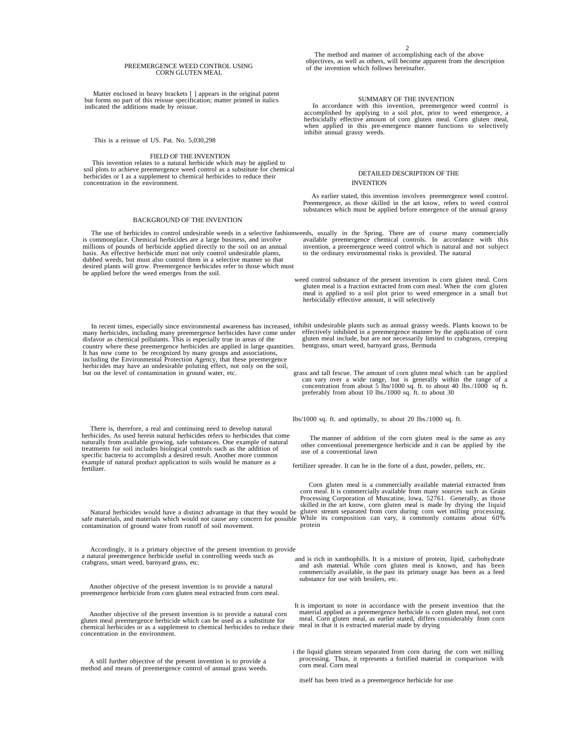#### PREEMERGENCE WEED CONTROL USING CORN GLUTEN MEAL

Matter enclosed in heavy brackets [ ] appears in the original patent but forms no part of this reissue specification; matter printed in italics indicated the additions made by reissue.

This is a reissue of US. Pat. No. 5,030,298

## FIELD OF THE INVENTION

This invention relates to a natural herbicide which may be applied to soil plots to achieve preemergence weed control as a substitute for chemical herbicides or I as a supplement to chemical herbicides to reduce their concentration in the environment.

#### BACKGROUND OF THE INVENTION

is commonplace. Chemical herbicides are a large business, and involve millions of pounds of herbicide applied directly to the soil on an annual basis. An effective herbicide must not only control undesirable plants, dubbed weeds, but must also control them in a selective manner so that desired plants will grow. Preemergence herbicides refer to those which must be applied before the weed emerges from the soil.

many herbicides, including many preemergence herbicides have come under disfavor as chemical pollutants. This is especially true in areas of the country where these preemergence herbicides are applied in large quantities. It has now come to be recognized by many groups and associations, including the Environmental Protection Agency, that these preemergence herbicides may have an undesirable poluting effect, not only on the soil, but on the level of contamination in ground water, etc.

There is, therefore, a real and continuing need to develop natural herbicides. As used herein natural herbicides refers to herbicides that come naturally from available growing, safe substances. One example of natural treatments for soil includes biological controls such as the addition of specific bacteria to accomplish a desired result. Another more common example of natural product application to soils would be manure as a fertilizer.

Natural herbicides would have a distinct advantage in that they would be safe materials, and materials which would not cause any concern for possible contamination of ground water from runoff of soil movement.

Accordingly, it is a primary objective of the present invention to provide a natural preemergence herbicide useful in controlling weeds such as crabgrass, smart weed, barnyard grass, etc.

Another objective of the present invention is to provide a natural preemergence herbicide from corn gluten meal extracted from corn meal.

Another objective of the present invention is to provide a natural corn gluten meal preemergence herbicide which can be used as a substitute for chemical herbicides or as a supplement to chemical herbicides to reduce their concentration in the environment.

A still further objective of the present invention is to provide a method and means of preemergence control of annual grass weeds.

2 The method and manner of accomplishing each of the above objectives, as well as others, will become apparent from the description of the invention which follows hereinafter.

## SUMMARY OF THE INVENTION

In accordance with this invention, preemergence weed control is accomplished by applying to a soil plot, prior to weed emergence, a accomplished by applying to a soil plot, prior to weed emergence, a<br>herbicidally effective amount of corn gluten meal. Corn gluten meal,<br>when applied in this pre-emergence manner functions to selectively<br>inhibit annual gra

## DETAILED DESCRIPTION OF THE INVENTION

As earlier stated, this invention involves preemergence weed control. Preemergence, as those skilled in the art know, refers to weed control substances which must be applied before emergence of the annual grassy

The use of herbicides to control undesirable weeds in a selective fashion weeds, usually in the Spring. There are of course many commercially available preemergence chemical controls. In accordance with this invention, a preemergence weed control which is natural and not subject to the ordinary environmental risks is provided. The natural

> weed control substance of the present invention is corn gluten meal. Corn gluten meal is a fraction extracted from corn meal. When the corn gluten meal is applied to a soil plot prior to weed emergence in a small but herbicidally effective amount, it will selectively

In recent times, especially since environmental awareness has increased, inhibit undesirable plants such as annual grassy weeds. Plants known to be effectively inhibited in a preemergence manner by the application of corn<br>gluten meal include, but are not necessarily limited to crabgrass, creeping<br>bentgrass, smart weed, barnyard grass, Bermuda

> grass and tall fescue. The amount of corn gluten meal which can be applied can vary over a wide range, but is generally within the range of a concentration from about 5 lbs/1000 sq. ft. to about 40 lbs./1000 sq ft. preferably from about 10 lbs./1000 sq. ft. to about 30

Ibs/1000 sq. ft. and optimally, to about 20 Ibs./1000 sq. ft.

The manner of addition of the corn gluten meal is the same as any other conventional preemergence herbicide and it can be applied by the use of a conventional lawn

fertilizer spreader. It can be in the forte of a dust, powder, pellets, etc.

Corn gluten meal is a commercially available material extracted from corn meal. It is commercially available from many sources such as Grain Processing Corporation of Muscatine, lowa, 52761. Generally, as those skilled in the art know, corn gluten meal is made by drying the liquid gluten stream separated from corn during corn wet milling processing. While its composition can vary, it commonly contains about 60% protein

 and is rich in xanthophills. It is a mixture of protein, lipid, carbohydrate and ash material. While corn gluten meal is known, and has been commercially available, in the past its primary usage has been as a feed substance for use with broilers, etc.

 It is important to note in accordance with the present invention that the material applied as a preemergence herbicide is corn gluten meal, not corn meal. Corn gluten meal, as earlier stated, differs considerably from corn meal in that it is extracted material made by drying

i the liquid gluten stream separated from corn during the corn wet milling processing. Thus, it represents a fortified material in comparison with corn meal. Corn meal

itself has been tried as a preemergence herbicide for use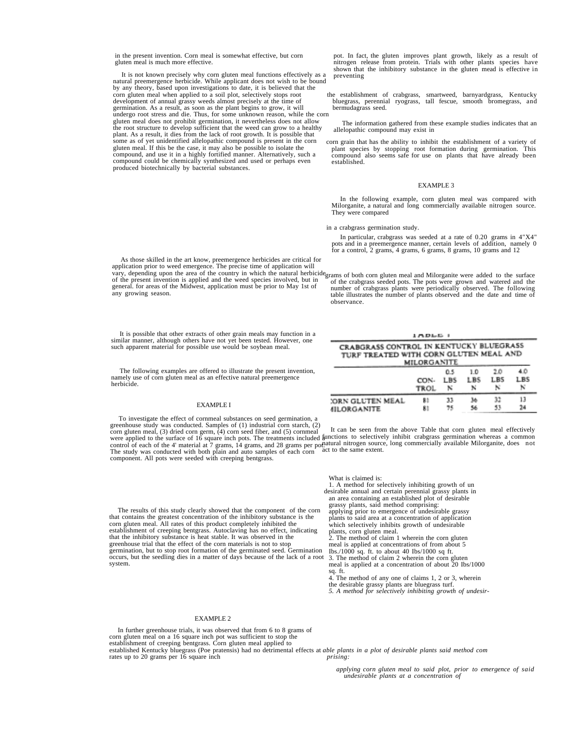in the present invention. Corn meal is somewhat effective, but corn gluten meal is much more effective.

It is not known precisely why corn gluten meal functions effectively as a natural preemergence herbicide. While applicant does not wish to be bound by any theory, based upon investigations to date, it is believed that the corn gluten meal when applied to a soil plot, selectively stops root the development of annual grassy weeds almost precisiely at the time of germination. As a result, as soon as the plant begins to grow, it will undergo ro plant. As a result, it dies from the lack of root growth. It is possible that some as of yet unidentified allelopathic compound is present in the corn gluten meal. If this be the case, it may also be possible to isolate the compound, and use it in a highly fortified manner. Alternatively, such a compound could be chemically synthesized and used or perhaps even produced biotechnically by bacterial substances.

pot. In fact, the gluten improves plant growth, likely as a result of nitrogen release from protein. Trials with other plants species have shown that the inhibitory substance in the gluten mead is effective in preventing

 the establishment of crabgrass, smartweed, barnyardgrass, Kentucky bluegrass, perennial ryograss, tall fescue, smooth bromegrass, and bermudagrass seed.

The information gathered from these example studies indicates that an allelopathic compound may exist in

 corn grain that has the ability to inhibit the establishment of a variety of plant species by stopping root formation during germination. This compound also seems safe for use on plants that have already been established.

## EXAMPLE 3

In the following example, corn gluten meal was compared with Milorganite, a natural and long commercially available nitrogen source. They were compared

in a crabgrass germination study.

In particular, crabgrass was seeded at a rate of 0.20 grams in 4"X4" pots and in a preemergence manner, certain levels of addition, namely 0 for a control, 2 grams, 4 grams, 6 grams, 8 grams, 10 grams and 12

As those skilled in the art know, preemergence herbicides are critical for application prior to weed emergence. The precise time of application will vary, depending upon the area of the country in which the natural herbicide grams of both corn gluten meal and Milorganite were added to the surface of the present invention is applied and the weed species involved, but in general. for areas of the Midwest, application must be prior to May 1st of any growing season.

of the crabgrass seeded pots. The pots were grown and watered and the number of crabgrass plants were periodically observed. The following table illustrates the number of plants observed and the date and time of observance.

**IADLE** 

It is possible that other extracts of other grain meals may function in a similar manner, although others have not yet been tested. However, one such apparent material for possible use would be soybean meal.

The following examples are offered to illustrate the present invention, namely use of corn gluten meal as an effective natural preemergence herbicide.

#### EXAMPLE I

CRABGRASS CONTROL IN KENTUCKY BLUEGRASS TURF TREATED WITH CORN GLUTEN MEAL AND MILORGANITI 4.0 0.5  $1.0$ 2.0 CON-LBS  $LBS$ LB5 1 BS N N N **TROL** N 13 ORN GLUTEN MEAL 33 **Lo** 32 B) 81 75 Sé 53 24 **IILORGANITE** 

To investigate the effect of cornmeal substances on seed germination, a greenhouse study was conducted. Samples of (1) industrial corn starch, (2)

corn gluten meal, (3) dried corn germ, (4) corn seed fiber, and (5) cornmeal<br>were applied to the surface of 16 square inch pots. The treatments included a<br>control of each of the 4' material at 7 grams, 14 grams, and 28 gr component. All pots were seeded with creeping bentgrass. It can be seen from the above Table that corn gluten meal effectively functions to selectively inhibit crabgrass germination whereas a common natural nitrogen source, long commercially available Milorganite, does not act to the same extent.

What is claimed is:

1. A method for selectively inhibiting growth of un

| The results of this study clearly showed that the component of the corn<br>that contains the greatest concentration of the inhibitory substance is the<br>corn gluten meal. All rates of this product completely inhibited the<br>establishment of creeping bentgrass. Autoclaving has no effect, indicating<br>that the inhibitory substance is heat stable. It was observed in the<br>greenhouse trial that the effect of the corn materials is not to stop<br>germination, but to stop root formation of the germinated seed. Germination<br>occurs, but the seedling dies in a matter of days because of the lack of a root 3. The method of claim 2 wherein the corn gluten<br>system. | desirable annual and certain perennial grassy plants in<br>an area containing an established plot of desirable<br>grassy plants, said method comprising:<br>applying prior to emergence of undesirable grassy<br>plants to said area at a concentration of application<br>which selectively inhibits growth of undesirable<br>plants, corn gluten meal.<br>2. The method of claim 1 wherein the corn gluten<br>meal is applied at concentrations of from about 5<br>Ibs./1000 sq. ft. to about 40 Ibs/1000 sq ft.<br>meal is applied at a concentration of about 20 Ibs/1000<br>sq. ft.<br>4. The method of any one of claims 1, 2 or 3, wherein |
|---------------------------------------------------------------------------------------------------------------------------------------------------------------------------------------------------------------------------------------------------------------------------------------------------------------------------------------------------------------------------------------------------------------------------------------------------------------------------------------------------------------------------------------------------------------------------------------------------------------------------------------------------------------------------------------------|--------------------------------------------------------------------------------------------------------------------------------------------------------------------------------------------------------------------------------------------------------------------------------------------------------------------------------------------------------------------------------------------------------------------------------------------------------------------------------------------------------------------------------------------------------------------------------------------------------------------------------------------------|
|                                                                                                                                                                                                                                                                                                                                                                                                                                                                                                                                                                                                                                                                                             |                                                                                                                                                                                                                                                                                                                                                                                                                                                                                                                                                                                                                                                  |
|                                                                                                                                                                                                                                                                                                                                                                                                                                                                                                                                                                                                                                                                                             | the desirable grassy plants are bluegrass turf.<br>5. A method for selectively inhibiting growth of undesir-                                                                                                                                                                                                                                                                                                                                                                                                                                                                                                                                     |

### EXAMPLE 2

In further greenhouse trials, it was observed that from 6 to 8 grams of corn gluten meal on a 16 square inch pot was sufficient to stop the establishment of creeping bentgrass. Corn gluten meal applied to established Kentucky bluegrass (Poe pratensis) had no detrimental effects at *able plants in a plot of desirable plants said method com*<br>*prising:*<br>*prising:* 

> *applying corn gluten meal to said plot, prior to emergence of said undesirable plants at a concentration of*